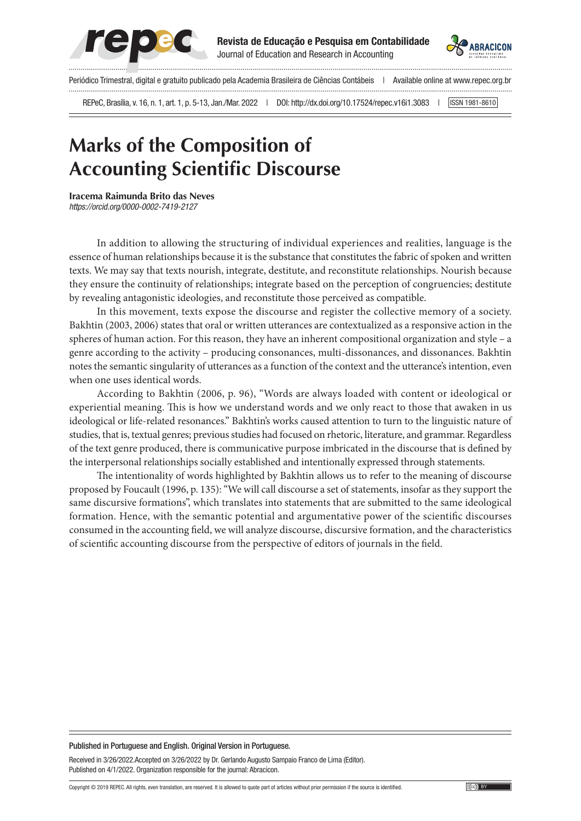



Periódico Trimestral, digital e gratuito publicado pela Academia Brasileira de Ciências Contábeis | Available online at www.repec.org.br

REPeC, Brasília, v. 16, n. 1, art. 1, p. 5-13, Jan./Mar. 2022 | DOI: http://dx.doi.org/10.17524/repec.v16i1.3083 | [ISSN 1981-8610]

# **Marks of the Composition of Accounting Scientific Discourse**

**Iracema Raimunda Brito das Neves** *https://orcid.org[/0000-0002-7419-2127](https://orcid.org/0000-0002-7419-2127) | E-mail: e-mail do autor e-mail do autorr*

In addition to allowing the structuring of individual experiences and realities, language is the essence of human relationships because it is the substance that constitutes the fabric of spoken and written texts. We may say that texts nourish, integrate, destitute, and reconstitute relationships. Nourish because they ensure the continuity of relationships; integrate based on the perception of congruencies; destitute by revealing antagonistic ideologies, and reconstitute those perceived as compatible.

In this movement, texts expose the discourse and register the collective memory of a society. Bakhtin (2003, 2006) states that oral or written utterances are contextualized as a responsive action in the spheres of human action. For this reason, they have an inherent compositional organization and style – a genre according to the activity – producing consonances, multi-dissonances, and dissonances. Bakhtin notes the semantic singularity of utterances as a function of the context and the utterance's intention, even when one uses identical words.

According to Bakhtin (2006, p. 96), "Words are always loaded with content or ideological or experiential meaning. This is how we understand words and we only react to those that awaken in us ideological or life-related resonances." Bakhtin's works caused attention to turn to the linguistic nature of studies, that is, textual genres; previous studies had focused on rhetoric, literature, and grammar. Regardless of the text genre produced, there is communicative purpose imbricated in the discourse that is defined by the interpersonal relationships socially established and intentionally expressed through statements.

The intentionality of words highlighted by Bakhtin allows us to refer to the meaning of discourse proposed by Foucault (1996, p. 135): "We will call discourse a set of statements, insofar as they support the same discursive formations", which translates into statements that are submitted to the same ideological formation. Hence, with the semantic potential and argumentative power of the scientific discourses consumed in the accounting field, we will analyze discourse, discursive formation, and the characteristics of scientific accounting discourse from the perspective of editors of journals in the field.

#### Published in Portuguese and English. Original Version in Portuguese.

Received in 3/26/2022.Accepted on 3/26/2022 by Dr. Gerlando Augusto Sampaio Franco de Lima (Editor). Published on 4/1/2022. Organization responsible for the journal: Abracicon.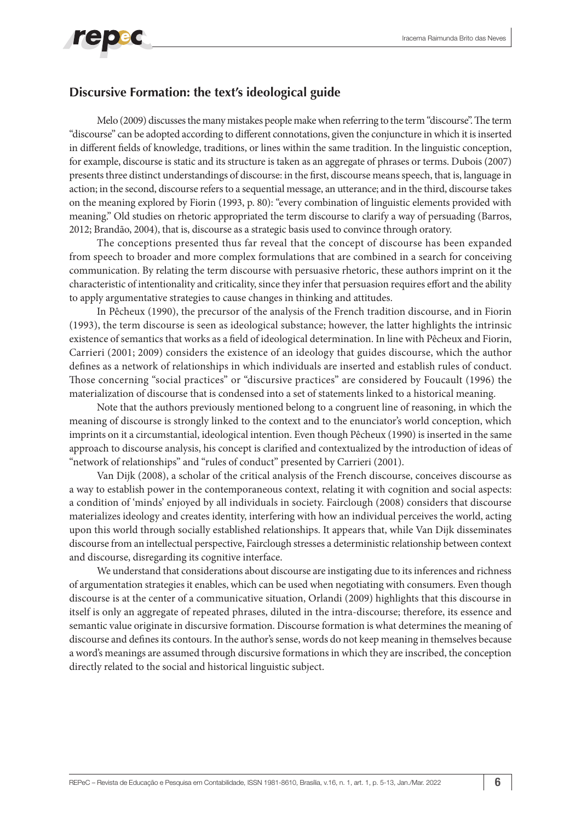#### **Discursive Formation: the text's ideological guide**

Melo (2009) discusses the many mistakes people make when referring to the term "discourse". The term "discourse" can be adopted according to different connotations, given the conjuncture in which it is inserted in different fields of knowledge, traditions, or lines within the same tradition. In the linguistic conception, for example, discourse is static and its structure is taken as an aggregate of phrases or terms. Dubois (2007) presents three distinct understandings of discourse: in the first, discourse means speech, that is, language in action; in the second, discourse refers to a sequential message, an utterance; and in the third, discourse takes on the meaning explored by Fiorin (1993, p. 80): "every combination of linguistic elements provided with meaning." Old studies on rhetoric appropriated the term discourse to clarify a way of persuading (Barros, 2012; Brandão, 2004), that is, discourse as a strategic basis used to convince through oratory.

The conceptions presented thus far reveal that the concept of discourse has been expanded from speech to broader and more complex formulations that are combined in a search for conceiving communication. By relating the term discourse with persuasive rhetoric, these authors imprint on it the characteristic of intentionality and criticality, since they infer that persuasion requires effort and the ability to apply argumentative strategies to cause changes in thinking and attitudes.

In Pêcheux (1990), the precursor of the analysis of the French tradition discourse, and in Fiorin (1993), the term discourse is seen as ideological substance; however, the latter highlights the intrinsic existence of semantics that works as a field of ideological determination. In line with Pêcheux and Fiorin, Carrieri (2001; 2009) considers the existence of an ideology that guides discourse, which the author defines as a network of relationships in which individuals are inserted and establish rules of conduct. Those concerning "social practices" or "discursive practices" are considered by Foucault (1996) the materialization of discourse that is condensed into a set of statements linked to a historical meaning.

Note that the authors previously mentioned belong to a congruent line of reasoning, in which the meaning of discourse is strongly linked to the context and to the enunciator's world conception, which imprints on it a circumstantial, ideological intention. Even though Pêcheux (1990) is inserted in the same approach to discourse analysis, his concept is clarified and contextualized by the introduction of ideas of "network of relationships" and "rules of conduct" presented by Carrieri (2001).

Van Dijk (2008), a scholar of the critical analysis of the French discourse, conceives discourse as a way to establish power in the contemporaneous context, relating it with cognition and social aspects: a condition of 'minds' enjoyed by all individuals in society. Fairclough (2008) considers that discourse materializes ideology and creates identity, interfering with how an individual perceives the world, acting upon this world through socially established relationships. It appears that, while Van Dijk disseminates discourse from an intellectual perspective, Fairclough stresses a deterministic relationship between context and discourse, disregarding its cognitive interface.

We understand that considerations about discourse are instigating due to its inferences and richness of argumentation strategies it enables, which can be used when negotiating with consumers. Even though discourse is at the center of a communicative situation, Orlandi (2009) highlights that this discourse in itself is only an aggregate of repeated phrases, diluted in the intra-discourse; therefore, its essence and semantic value originate in discursive formation. Discourse formation is what determines the meaning of discourse and defines its contours. In the author's sense, words do not keep meaning in themselves because a word's meanings are assumed through discursive formations in which they are inscribed, the conception directly related to the social and historical linguistic subject.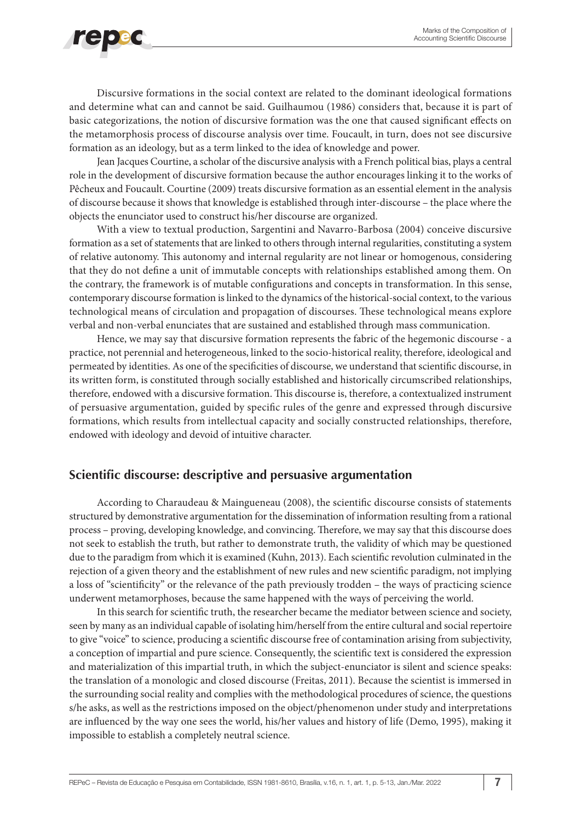

Discursive formations in the social context are related to the dominant ideological formations and determine what can and cannot be said. Guilhaumou (1986) considers that, because it is part of basic categorizations, the notion of discursive formation was the one that caused significant effects on the metamorphosis process of discourse analysis over time. Foucault, in turn, does not see discursive formation as an ideology, but as a term linked to the idea of knowledge and power.

Jean Jacques Courtine, a scholar of the discursive analysis with a French political bias, plays a central role in the development of discursive formation because the author encourages linking it to the works of Pêcheux and Foucault. Courtine (2009) treats discursive formation as an essential element in the analysis of discourse because it shows that knowledge is established through inter-discourse – the place where the objects the enunciator used to construct his/her discourse are organized.

With a view to textual production, Sargentini and Navarro-Barbosa (2004) conceive discursive formation as a set of statements that are linked to others through internal regularities, constituting a system of relative autonomy. This autonomy and internal regularity are not linear or homogenous, considering that they do not define a unit of immutable concepts with relationships established among them. On the contrary, the framework is of mutable configurations and concepts in transformation. In this sense, contemporary discourse formation is linked to the dynamics of the historical-social context, to the various technological means of circulation and propagation of discourses. These technological means explore verbal and non-verbal enunciates that are sustained and established through mass communication.

Hence, we may say that discursive formation represents the fabric of the hegemonic discourse - a practice, not perennial and heterogeneous, linked to the socio-historical reality, therefore, ideological and permeated by identities. As one of the specificities of discourse, we understand that scientific discourse, in its written form, is constituted through socially established and historically circumscribed relationships, therefore, endowed with a discursive formation. This discourse is, therefore, a contextualized instrument of persuasive argumentation, guided by specific rules of the genre and expressed through discursive formations, which results from intellectual capacity and socially constructed relationships, therefore, endowed with ideology and devoid of intuitive character.

### **Scientific discourse: descriptive and persuasive argumentation**

According to Charaudeau & Maingueneau (2008), the scientific discourse consists of statements structured by demonstrative argumentation for the dissemination of information resulting from a rational process – proving, developing knowledge, and convincing. Therefore, we may say that this discourse does not seek to establish the truth, but rather to demonstrate truth, the validity of which may be questioned due to the paradigm from which it is examined (Kuhn, 2013). Each scientific revolution culminated in the rejection of a given theory and the establishment of new rules and new scientific paradigm, not implying a loss of "scientificity" or the relevance of the path previously trodden – the ways of practicing science underwent metamorphoses, because the same happened with the ways of perceiving the world.

In this search for scientific truth, the researcher became the mediator between science and society, seen by many as an individual capable of isolating him/herself from the entire cultural and social repertoire to give "voice" to science, producing a scientific discourse free of contamination arising from subjectivity, a conception of impartial and pure science. Consequently, the scientific text is considered the expression and materialization of this impartial truth, in which the subject-enunciator is silent and science speaks: the translation of a monologic and closed discourse (Freitas, 2011). Because the scientist is immersed in the surrounding social reality and complies with the methodological procedures of science, the questions s/he asks, as well as the restrictions imposed on the object/phenomenon under study and interpretations are influenced by the way one sees the world, his/her values and history of life (Demo, 1995), making it impossible to establish a completely neutral science.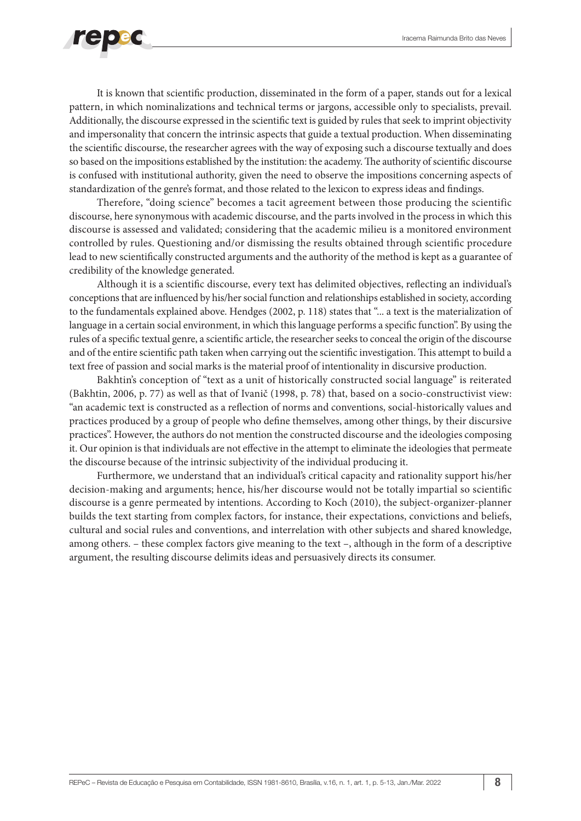

It is known that scientific production, disseminated in the form of a paper, stands out for a lexical pattern, in which nominalizations and technical terms or jargons, accessible only to specialists, prevail. Additionally, the discourse expressed in the scientific text is guided by rules that seek to imprint objectivity and impersonality that concern the intrinsic aspects that guide a textual production. When disseminating the scientific discourse, the researcher agrees with the way of exposing such a discourse textually and does so based on the impositions established by the institution: the academy. The authority of scientific discourse is confused with institutional authority, given the need to observe the impositions concerning aspects of standardization of the genre's format, and those related to the lexicon to express ideas and findings.

Therefore, "doing science" becomes a tacit agreement between those producing the scientific discourse, here synonymous with academic discourse, and the parts involved in the process in which this discourse is assessed and validated; considering that the academic milieu is a monitored environment controlled by rules. Questioning and/or dismissing the results obtained through scientific procedure lead to new scientifically constructed arguments and the authority of the method is kept as a guarantee of credibility of the knowledge generated.

Although it is a scientific discourse, every text has delimited objectives, reflecting an individual's conceptions that are influenced by his/her social function and relationships established in society, according to the fundamentals explained above. Hendges (2002, p. 118) states that "... a text is the materialization of language in a certain social environment, in which this language performs a specific function". By using the rules of a specific textual genre, a scientific article, the researcher seeks to conceal the origin of the discourse and of the entire scientific path taken when carrying out the scientific investigation. This attempt to build a text free of passion and social marks is the material proof of intentionality in discursive production.

Bakhtin's conception of "text as a unit of historically constructed social language" is reiterated (Bakhtin, 2006, p. 77) as well as that of Ivanič (1998, p. 78) that, based on a socio-constructivist view: "an academic text is constructed as a reflection of norms and conventions, social-historically values and practices produced by a group of people who define themselves, among other things, by their discursive practices". However, the authors do not mention the constructed discourse and the ideologies composing it. Our opinion is that individuals are not effective in the attempt to eliminate the ideologies that permeate the discourse because of the intrinsic subjectivity of the individual producing it.

Furthermore, we understand that an individual's critical capacity and rationality support his/her decision-making and arguments; hence, his/her discourse would not be totally impartial so scientific discourse is a genre permeated by intentions. According to Koch (2010), the subject-organizer-planner builds the text starting from complex factors, for instance, their expectations, convictions and beliefs, cultural and social rules and conventions, and interrelation with other subjects and shared knowledge, among others. – these complex factors give meaning to the text –, although in the form of a descriptive argument, the resulting discourse delimits ideas and persuasively directs its consumer.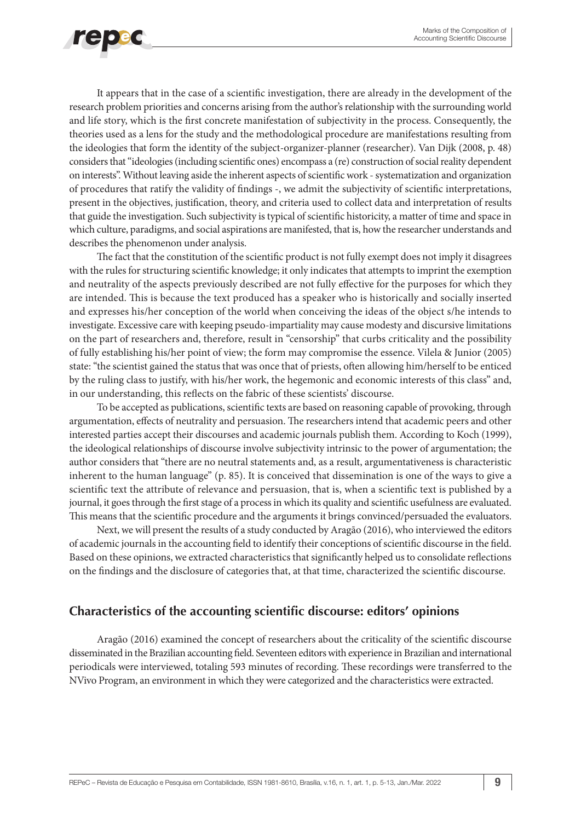

It appears that in the case of a scientific investigation, there are already in the development of the research problem priorities and concerns arising from the author's relationship with the surrounding world and life story, which is the first concrete manifestation of subjectivity in the process. Consequently, the theories used as a lens for the study and the methodological procedure are manifestations resulting from the ideologies that form the identity of the subject-organizer-planner (researcher). Van Dijk (2008, p. 48) considers that "ideologies (including scientific ones) encompass a (re) construction of social reality dependent on interests". Without leaving aside the inherent aspects of scientific work - systematization and organization of procedures that ratify the validity of findings -, we admit the subjectivity of scientific interpretations, present in the objectives, justification, theory, and criteria used to collect data and interpretation of results that guide the investigation. Such subjectivity is typical of scientific historicity, a matter of time and space in which culture, paradigms, and social aspirations are manifested, that is, how the researcher understands and describes the phenomenon under analysis.

The fact that the constitution of the scientific product is not fully exempt does not imply it disagrees with the rules for structuring scientific knowledge; it only indicates that attempts to imprint the exemption and neutrality of the aspects previously described are not fully effective for the purposes for which they are intended. This is because the text produced has a speaker who is historically and socially inserted and expresses his/her conception of the world when conceiving the ideas of the object s/he intends to investigate. Excessive care with keeping pseudo-impartiality may cause modesty and discursive limitations on the part of researchers and, therefore, result in "censorship" that curbs criticality and the possibility of fully establishing his/her point of view; the form may compromise the essence. Vilela & Junior (2005) state: "the scientist gained the status that was once that of priests, often allowing him/herself to be enticed by the ruling class to justify, with his/her work, the hegemonic and economic interests of this class" and, in our understanding, this reflects on the fabric of these scientists' discourse.

To be accepted as publications, scientific texts are based on reasoning capable of provoking, through argumentation, effects of neutrality and persuasion. The researchers intend that academic peers and other interested parties accept their discourses and academic journals publish them. According to Koch (1999), the ideological relationships of discourse involve subjectivity intrinsic to the power of argumentation; the author considers that "there are no neutral statements and, as a result, argumentativeness is characteristic inherent to the human language" (p. 85). It is conceived that dissemination is one of the ways to give a scientific text the attribute of relevance and persuasion, that is, when a scientific text is published by a journal, it goes through the first stage of a process in which its quality and scientific usefulness are evaluated. This means that the scientific procedure and the arguments it brings convinced/persuaded the evaluators.

Next, we will present the results of a study conducted by Aragão (2016), who interviewed the editors of academic journals in the accounting field to identify their conceptions of scientific discourse in the field. Based on these opinions, we extracted characteristics that significantly helped us to consolidate reflections on the findings and the disclosure of categories that, at that time, characterized the scientific discourse.

### **Characteristics of the accounting scientific discourse: editors' opinions**

Aragão (2016) examined the concept of researchers about the criticality of the scientific discourse disseminated in the Brazilian accounting field. Seventeen editors with experience in Brazilian and international periodicals were interviewed, totaling 593 minutes of recording. These recordings were transferred to the NVivo Program, an environment in which they were categorized and the characteristics were extracted.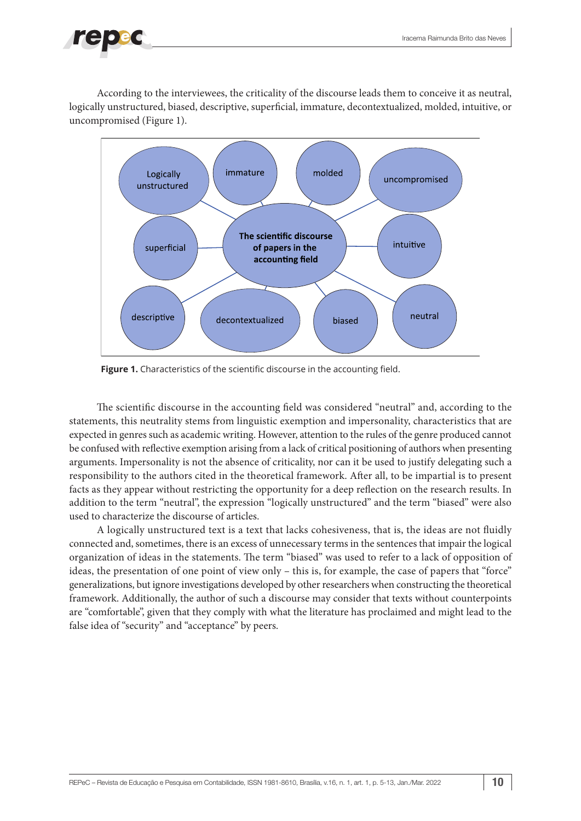According to the interviewees, the criticality of the discourse leads them to conceive it as neutral, logically unstructured, biased, descriptive, superficial, immature, decontextualized, molded, intuitive, or uncompromised (Figure 1).



**Figure 1.** Characteristics of the scientific discourse in the accounting field.

The scientific discourse in the accounting field was considered "neutral" and, according to the statements, this neutrality stems from linguistic exemption and impersonality, characteristics that are expected in genres such as academic writing. However, attention to the rules of the genre produced cannot be confused with reflective exemption arising from a lack of critical positioning of authors when presenting arguments. Impersonality is not the absence of criticality, nor can it be used to justify delegating such a responsibility to the authors cited in the theoretical framework. After all, to be impartial is to present facts as they appear without restricting the opportunity for a deep reflection on the research results. In addition to the term "neutral", the expression "logically unstructured" and the term "biased" were also used to characterize the discourse of articles.

A logically unstructured text is a text that lacks cohesiveness, that is, the ideas are not fluidly connected and, sometimes, there is an excess of unnecessary terms in the sentences that impair the logical organization of ideas in the statements. The term "biased" was used to refer to a lack of opposition of ideas, the presentation of one point of view only – this is, for example, the case of papers that "force" generalizations, but ignore investigations developed by other researchers when constructing the theoretical framework. Additionally, the author of such a discourse may consider that texts without counterpoints are "comfortable", given that they comply with what the literature has proclaimed and might lead to the false idea of "security" and "acceptance" by peers.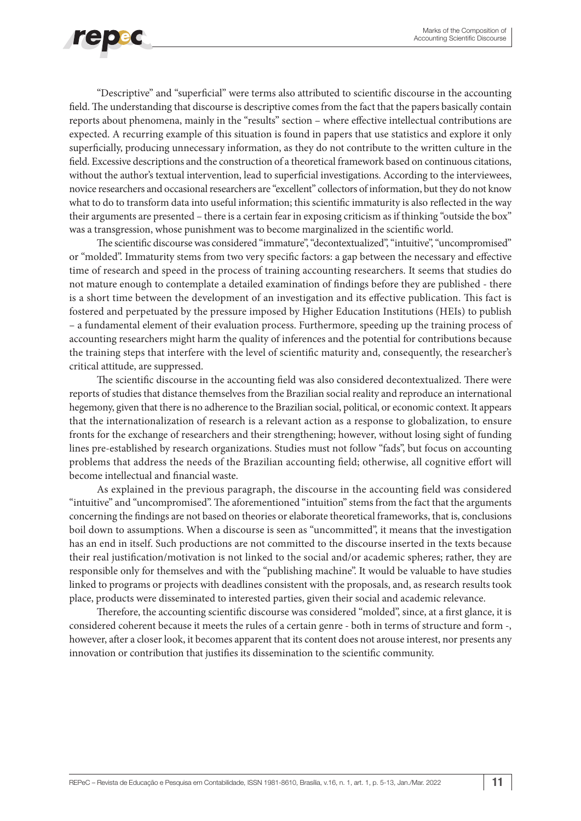

"Descriptive" and "superficial" were terms also attributed to scientific discourse in the accounting field. The understanding that discourse is descriptive comes from the fact that the papers basically contain reports about phenomena, mainly in the "results" section – where effective intellectual contributions are expected. A recurring example of this situation is found in papers that use statistics and explore it only superficially, producing unnecessary information, as they do not contribute to the written culture in the field. Excessive descriptions and the construction of a theoretical framework based on continuous citations, without the author's textual intervention, lead to superficial investigations. According to the interviewees, novice researchers and occasional researchers are "excellent" collectors of information, but they do not know what to do to transform data into useful information; this scientific immaturity is also reflected in the way their arguments are presented – there is a certain fear in exposing criticism as if thinking "outside the box" was a transgression, whose punishment was to become marginalized in the scientific world.

The scientific discourse was considered "immature", "decontextualized", "intuitive", "uncompromised" or "molded". Immaturity stems from two very specific factors: a gap between the necessary and effective time of research and speed in the process of training accounting researchers. It seems that studies do not mature enough to contemplate a detailed examination of findings before they are published - there is a short time between the development of an investigation and its effective publication. This fact is fostered and perpetuated by the pressure imposed by Higher Education Institutions (HEIs) to publish – a fundamental element of their evaluation process. Furthermore, speeding up the training process of accounting researchers might harm the quality of inferences and the potential for contributions because the training steps that interfere with the level of scientific maturity and, consequently, the researcher's critical attitude, are suppressed.

The scientific discourse in the accounting field was also considered decontextualized. There were reports of studies that distance themselves from the Brazilian social reality and reproduce an international hegemony, given that there is no adherence to the Brazilian social, political, or economic context. It appears that the internationalization of research is a relevant action as a response to globalization, to ensure fronts for the exchange of researchers and their strengthening; however, without losing sight of funding lines pre-established by research organizations. Studies must not follow "fads", but focus on accounting problems that address the needs of the Brazilian accounting field; otherwise, all cognitive effort will become intellectual and financial waste.

As explained in the previous paragraph, the discourse in the accounting field was considered "intuitive" and "uncompromised". The aforementioned "intuition" stems from the fact that the arguments concerning the findings are not based on theories or elaborate theoretical frameworks, that is, conclusions boil down to assumptions. When a discourse is seen as "uncommitted", it means that the investigation has an end in itself. Such productions are not committed to the discourse inserted in the texts because their real justification/motivation is not linked to the social and/or academic spheres; rather, they are responsible only for themselves and with the "publishing machine". It would be valuable to have studies linked to programs or projects with deadlines consistent with the proposals, and, as research results took place, products were disseminated to interested parties, given their social and academic relevance.

Therefore, the accounting scientific discourse was considered "molded", since, at a first glance, it is considered coherent because it meets the rules of a certain genre - both in terms of structure and form -, however, after a closer look, it becomes apparent that its content does not arouse interest, nor presents any innovation or contribution that justifies its dissemination to the scientific community.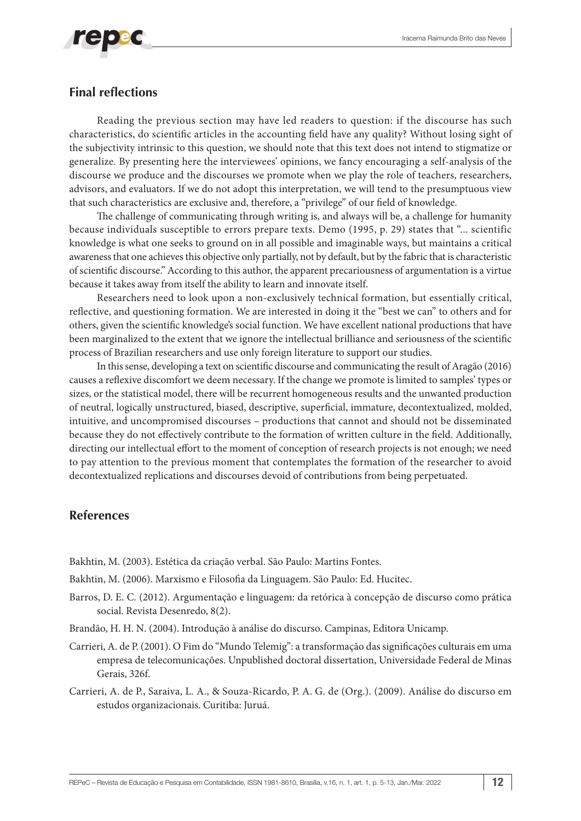

## **Final reflections**

Reading the previous section may have led readers to question: if the discourse has such characteristics, do scientific articles in the accounting field have any quality? Without losing sight of the subjectivity intrinsic to this question, we should note that this text does not intend to stigmatize or generalize. By presenting here the interviewees' opinions, we fancy encouraging a self-analysis of the discourse we produce and the discourses we promote when we play the role of teachers, researchers, advisors, and evaluators. If we do not adopt this interpretation, we will tend to the presumptuous view that such characteristics are exclusive and, therefore, a "privilege" of our field of knowledge.

The challenge of communicating through writing is, and always will be, a challenge for humanity because individuals susceptible to errors prepare texts. Demo (1995, p. 29) states that "... scientific knowledge is what one seeks to ground on in all possible and imaginable ways, but maintains a critical awareness that one achieves this objective only partially, not by default, but by the fabric that is characteristic of scientific discourse." According to this author, the apparent precariousness of argumentation is a virtue because it takes away from itself the ability to learn and innovate itself.

Researchers need to look upon a non-exclusively technical formation, but essentially critical, reflective, and questioning formation. We are interested in doing it the "best we can" to others and for others, given the scientific knowledge's social function. We have excellent national productions that have been marginalized to the extent that we ignore the intellectual brilliance and seriousness of the scientific process of Brazilian researchers and use only foreign literature to support our studies.

In this sense, developing a text on scientific discourse and communicating the result of Aragão (2016) causes a reflexive discomfort we deem necessary. If the change we promote is limited to samples' types or sizes, or the statistical model, there will be recurrent homogeneous results and the unwanted production of neutral, logically unstructured, biased, descriptive, superficial, immature, decontextualized, molded, intuitive, and uncompromised discourses – productions that cannot and should not be disseminated because they do not effectively contribute to the formation of written culture in the field. Additionally, directing our intellectual effort to the moment of conception of research projects is not enough; we need to pay attention to the previous moment that contemplates the formation of the researcher to avoid decontextualized replications and discourses devoid of contributions from being perpetuated.

### **References**

Bakhtin, M. (2003). Estética da criação verbal. São Paulo: Martins Fontes.

Bakhtin, M. (2006). Marxismo e Filosofia da Linguagem. São Paulo: Ed. Hucitec.

- Barros, D. E. C. (2012). Argumentação e linguagem: da retórica à concepção de discurso como prática social. Revista Desenredo, 8(2).
- Brandão, H. H. N. (2004). Introdução à análise do discurso. Campinas, Editora Unicamp.
- Carrieri, A. de P. (2001). O Fim do "Mundo Telemig": a transformação das significações culturais em uma empresa de telecomunicações. Unpublished doctoral dissertation, Universidade Federal de Minas Gerais, 326f.
- Carrieri, A. de P., Saraiva, L. A., & Souza-Ricardo, P. A. G. de (Org.). (2009). Análise do discurso em estudos organizacionais. Curitiba: Juruá.